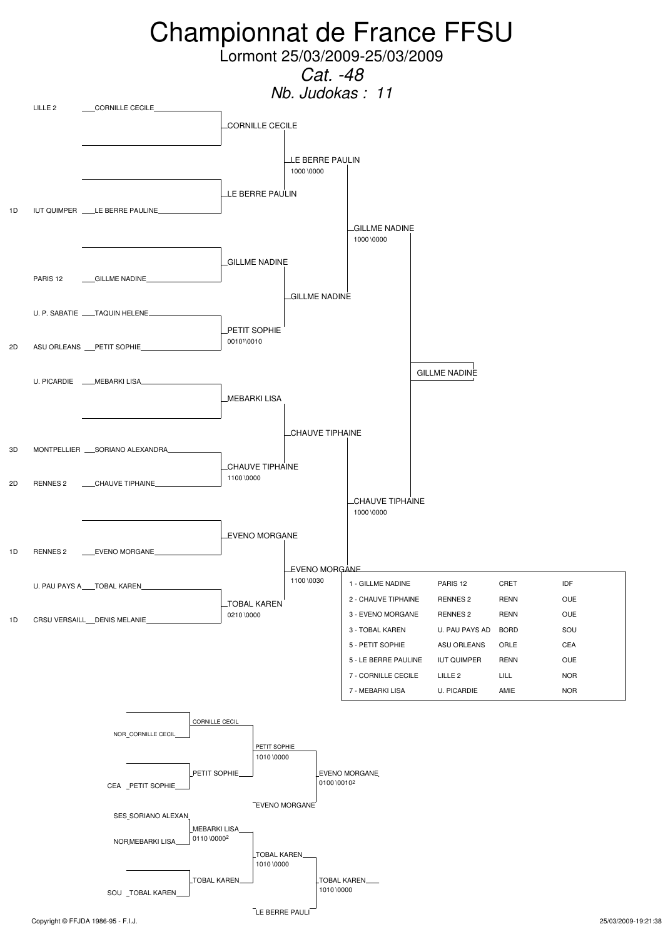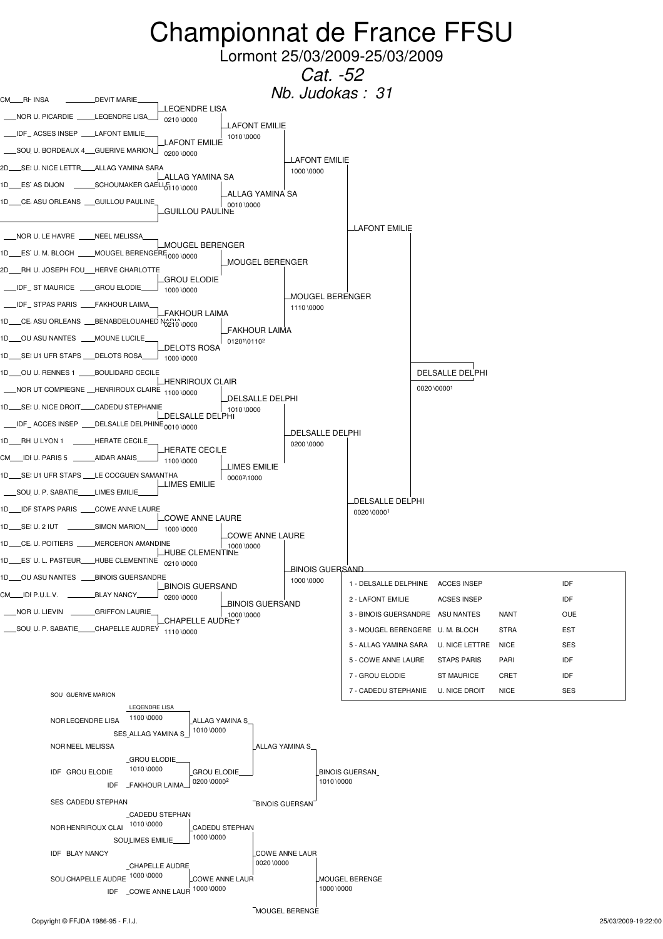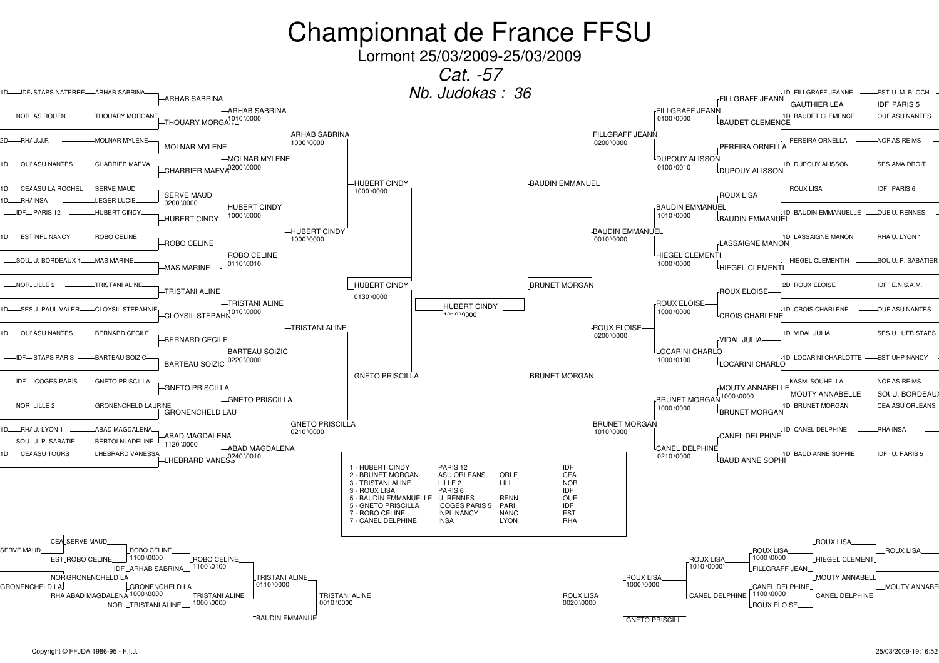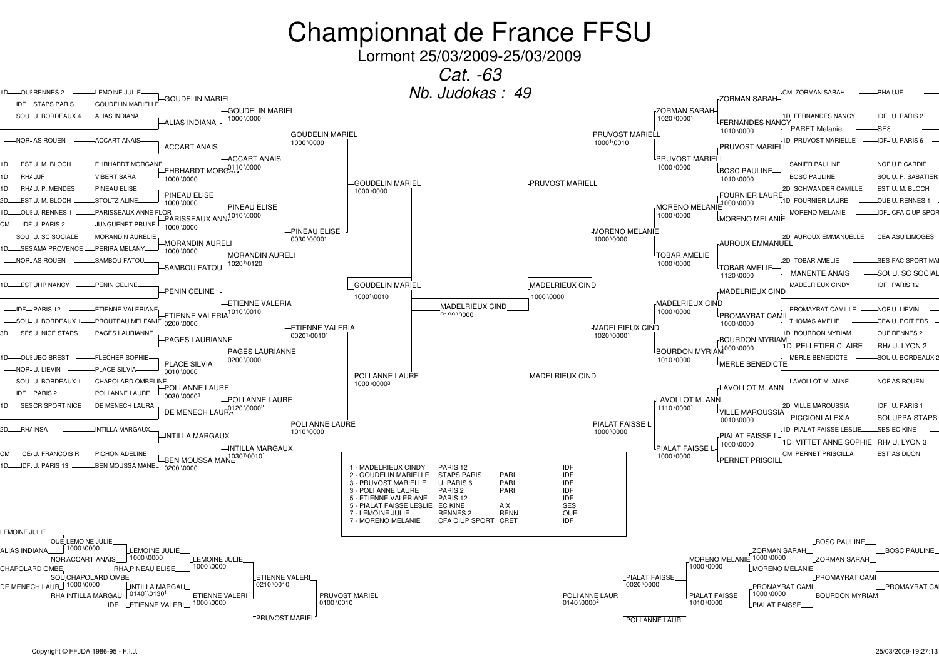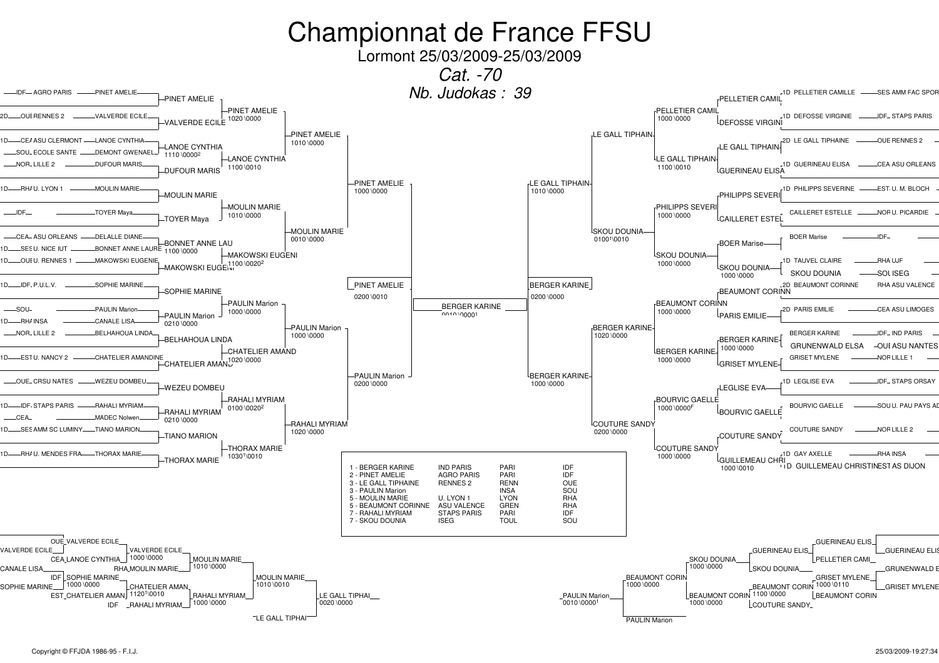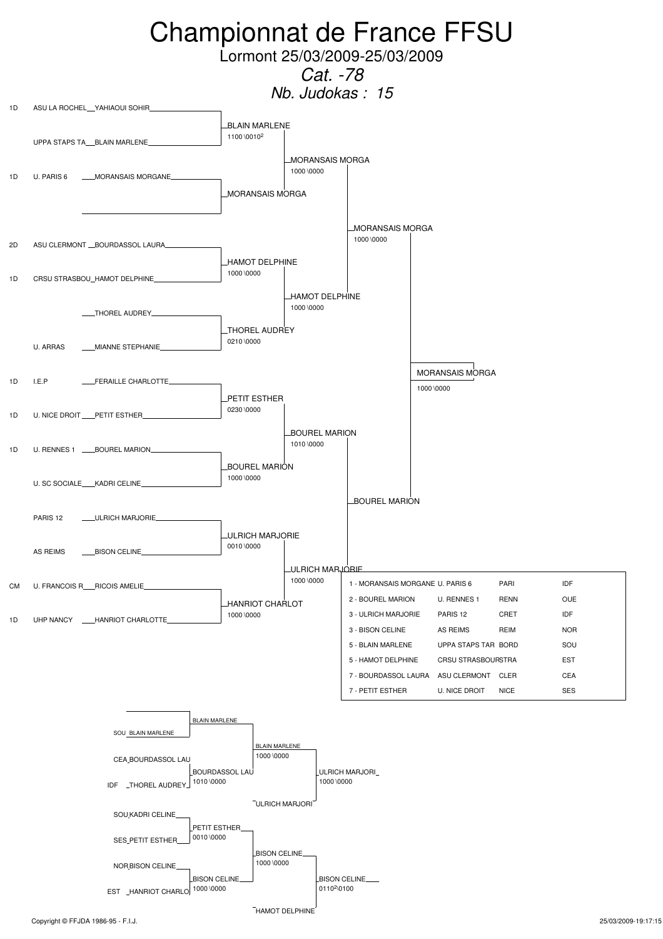